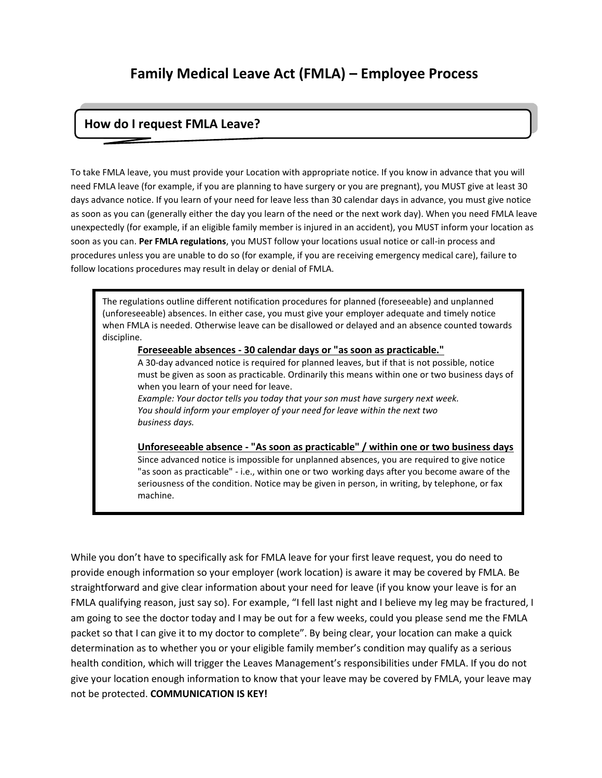# **Family Medical Leave Act (FMLA) – Employee Process**

## **How do I request FMLA Leave?**

To take FMLA leave, you must provide your Location with appropriate notice. If you know in advance that you will need FMLA leave (for example, if you are planning to have surgery or you are pregnant), you MUST give at least 30 days advance notice. If you learn of your need for leave less than 30 calendar days in advance, you must give notice as soon as you can (generally either the day you learn of the need or the next work day). When you need FMLA leave unexpectedly (for example, if an eligible family member is injured in an accident), you MUST inform your location as soon as you can. **Per FMLA regulations**, you MUST follow your locations usual notice or call-in process and procedures unless you are unable to do so (for example, if you are receiving emergency medical care), failure to follow locations procedures may result in delay or denial of FMLA.

The regulations outline different notification procedures for planned (foreseeable) and unplanned (unforeseeable) absences. In either case, you must give your employer adequate and timely notice when FMLA is needed. Otherwise leave can be disallowed or delayed and an absence counted towards discipline.

#### **Foreseeable absences - 30 calendar days or "as soon as practicable."**

A 30-day advanced notice is required for planned leaves, but if that is not possible, notice must be given as soon as practicable. Ordinarily this means within one or two business days of when you learn of your need for leave.

*Example: Your doctor tells you today that your son must have surgery next week. You should inform your employer of your need for leave within the next two business days.*

**Unforeseeable absence - "As soon as practicable" / within one or two business days** Since advanced notice is impossible for unplanned absences, you are required to give notice "as soon as practicable" - i.e., within one or two working days after you become aware of the seriousness of the condition. Notice may be given in person, in writing, by telephone, or fax machine.

While you don't have to specifically ask for FMLA leave for your first leave request, you do need to provide enough information so your employer (work location) is aware it may be covered by FMLA. Be straightforward and give clear information about your need for leave (if you know your leave is for an FMLA qualifying reason, just say so). For example, "I fell last night and I believe my leg may be fractured, I am going to see the doctor today and I may be out for a few weeks, could you please send me the FMLA packet so that I can give it to my doctor to complete". By being clear, your location can make a quick determination as to whether you or your eligible family member's condition may qualify as a serious health condition, which will trigger the Leaves Management's responsibilities under FMLA. If you do not give your location enough information to know that your leave may be covered by FMLA, your leave may not be protected. **COMMUNICATION IS KEY!**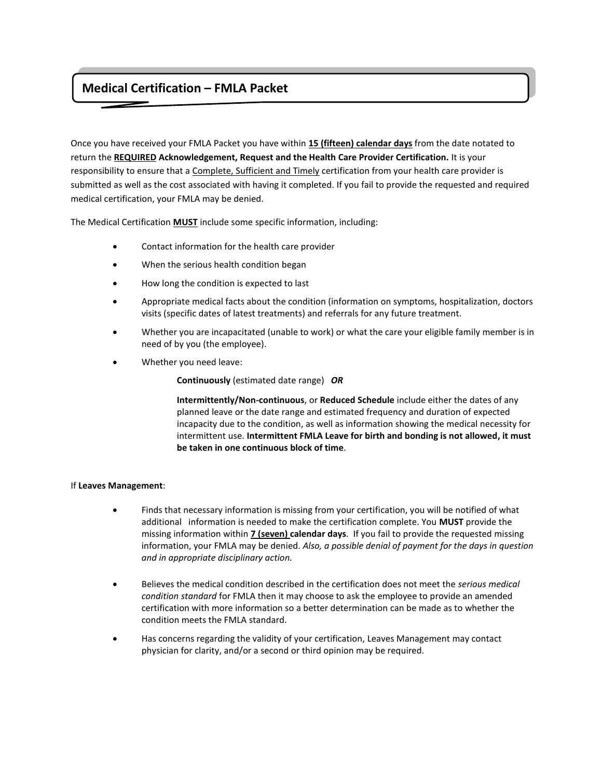## **Medical Certification – FMLA Packet**

Once you have received your FMLA Packet you have within **15 (fifteen) calendar days** from the date notated to return the **REQUIRED Acknowledgement, Request and the Health Care Provider Certification.** It is your responsibility to ensure that a Complete, Sufficient and Timely certification from your health care provider is submitted as well as the cost associated with having it completed. If you fail to provide the requested and required medical certification, your FMLA may be denied.

The Medical Certification **MUST** include some specific information, including:

- Contact information for the health care provider
- When the serious health condition began
- How long the condition is expected to last
- Appropriate medical facts about the condition (information on symptoms, hospitalization, doctors visits (specific dates of latest treatments) and referrals for any future treatment.
- Whether you are incapacitated (unable to work) or what the care your eligible family member is in need of by you (the employee).
- Whether you need leave:

**Continuously** (estimated date range) *OR*

 **Intermittently/Non-continuous**, or **Reduced Schedule** include either the dates of any planned leave or the date range and estimated frequency and duration of expected incapacity due to the condition, as well as information showing the medical necessity for intermittent use. **Intermittent FMLA Leave for birth and bonding is not allowed, it must be taken in one continuous block of time**.

## If **Leaves Management**:

- Finds that necessary information is missing from your certification, you will be notified of what additional information is needed to make the certification complete. You **MUST** provide the missing information within **7 (seven) calendar days**. If you fail to provide the requested missing information, your FMLA may be denied. *Also, a possible denial of payment for the days in question and in appropriate disciplinary action.*
- Believes the medical condition described in the certification does not meet the *serious medical condition standard* for FMLA then it may choose to ask the employee to provide an amended certification with more information so a better determination can be made as to whether the condition meets the FMLA standard.
- Has concerns regarding the validity of your certification, Leaves Management may contact physician for clarity, and/or a second or third opinion may be required.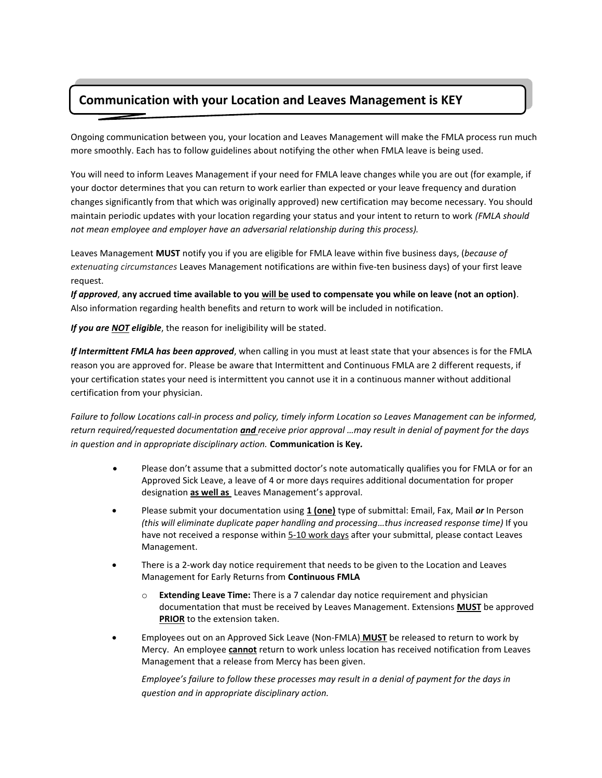## **Communication with your Location and Leaves Management is KEY**

Ongoing communication between you, your location and Leaves Management will make the FMLA process run much more smoothly. Each has to follow guidelines about notifying the other when FMLA leave is being used.

You will need to inform Leaves Management if your need for FMLA leave changes while you are out (for example, if your doctor determines that you can return to work earlier than expected or your leave frequency and duration changes significantly from that which was originally approved) new certification may become necessary. You should maintain periodic updates with your location regarding your status and your intent to return to work *(FMLA should not mean employee and employer have an adversarial relationship during this process).*

Leaves Management **MUST** notify you if you are eligible for FMLA leave within five business days, (*because of extenuating circumstances* Leaves Management notifications are within five-ten business days) of your first leave request.

*If approved*, **any accrued time available to you will be used to compensate you while on leave (not an option)**. Also information regarding health benefits and return to work will be included in notification.

*If you are NOT eligible*, the reason for ineligibility will be stated.

*If Intermittent FMLA has been approved*, when calling in you must at least state that your absences is for the FMLA reason you are approved for. Please be aware that Intermittent and Continuous FMLA are 2 different requests, if your certification states your need is intermittent you cannot use it in a continuous manner without additional certification from your physician.

*Failure to follow Locations call-in process and policy, timely inform Location so Leaves Management can be informed, return required/requested documentation and receive prior approval …may result in denial of payment for the days in question and in appropriate disciplinary action.* **Communication is Key***.*

- Please don't assume that a submitted doctor's note automatically qualifies you for FMLA or for an Approved Sick Leave, a leave of 4 or more days requires additional documentation for proper designation **as well as** Leaves Management's approval.
- Please submit your documentation using **1 (one)** type of submittal: Email, Fax, Mail *or* In Person *(this will eliminate duplicate paper handling and processing…thus increased response time)* If you have not received a response within 5-10 work days after your submittal, please contact Leaves Management.
- There is a 2-work day notice requirement that needs to be given to the Location and Leaves Management for Early Returns from **Continuous FMLA**
	- o **Extending Leave Time:** There is a 7 calendar day notice requirement and physician documentation that must be received by Leaves Management. Extensions **MUST** be approved **PRIOR** to the extension taken.
- Employees out on an Approved Sick Leave (Non-FMLA) **MUST** be released to return to work by Mercy. An employee **cannot** return to work unless location has received notification from Leaves Management that a release from Mercy has been given.

*Employee's failure to follow these processes may result in a denial of payment for the days in question and in appropriate disciplinary action.*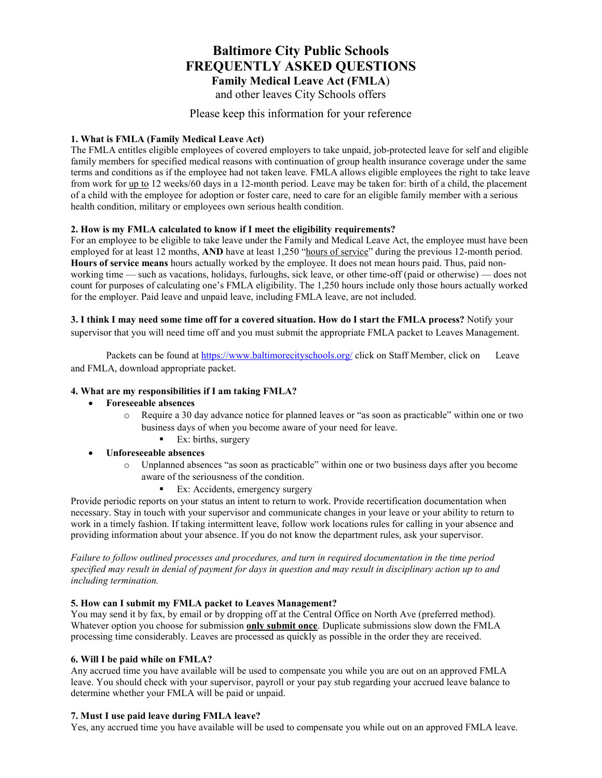## **Baltimore City Public Schools FREQUENTLY ASKED QUESTIONS Family Medical Leave Act (FMLA**)

and other leaves City Schools offers

## Please keep this information for your reference

## **1. What is FMLA (Family Medical Leave Act)**

The FMLA entitles eligible employees of covered employers to take unpaid, job-protected leave for self and eligible family members for specified medical reasons with continuation of group health insurance coverage under the same terms and conditions as if the employee had not taken leave. FMLA allows eligible employees the right to take leave from work for up to 12 weeks/60 days in a 12-month period. Leave may be taken for: birth of a child, the placement of a child with the employee for adoption or foster care, need to care for an eligible family member with a serious health condition, military or employees own serious health condition.

#### **2. How is my FMLA calculated to know if I meet the eligibility requirements?**

For an employee to be eligible to take leave under the Family and Medical Leave Act, the employee must have been employed for at least 12 months, **AND** have at least 1,250 "hours of service" during the previous 12-month period. **Hours of service means** hours actually worked by the employee. It does not mean hours paid. Thus, paid nonworking time — such as vacations, holidays, furloughs, sick leave, or other time-off (paid or otherwise) — does not count for purposes of calculating one's FMLA eligibility. The 1,250 hours include only those hours actually worked for the employer. Paid leave and unpaid leave, including FMLA leave, are not included.

**3. I think I may need some time off for a covered situation. How do I start the FMLA process?** Notify your supervisor that you will need time off and you must submit the appropriate FMLA packet to Leaves Management.

Packets can be found at<https://www.baltimorecityschools.org/> [click](http://www.baltimorecityschools.org/Domain/10250) on Staff Member, click on Leave and FMLA, download appropriate packet.

#### **4. What are my responsibilities if I am taking FMLA?**

- **Foreseeable absences** 
	- o Require a 30 day advance notice for planned leaves or "as soon as practicable" within one or two business days of when you become aware of your need for leave.
		- $\blacksquare$  Ex: births, surgery

## • **Unforeseeable absences**

- o Unplanned absences "as soon as practicable" within one or two business days after you become aware of the seriousness of the condition.
	- Ex: Accidents, emergency surgery

Provide periodic reports on your status an intent to return to work. Provide recertification documentation when necessary. Stay in touch with your supervisor and communicate changes in your leave or your ability to return to work in a timely fashion. If taking intermittent leave, follow work locations rules for calling in your absence and providing information about your absence. If you do not know the department rules, ask your supervisor.

*Failure to follow outlined processes and procedures, and turn in required documentation in the time period specified may result in denial of payment for days in question and may result in disciplinary action up to and including termination.*

#### **5. How can I submit my FMLA packet to Leaves Management?**

You may send it by fax, by email or by dropping off at the Central Office on North Ave (preferred method). Whatever option you choose for submission **only submit once**. Duplicate submissions slow down the FMLA processing time considerably. Leaves are processed as quickly as possible in the order they are received.

#### **6. Will I be paid while on FMLA?**

Any accrued time you have available will be used to compensate you while you are out on an approved FMLA leave. You should check with your supervisor, payroll or your pay stub regarding your accrued leave balance to determine whether your FMLA will be paid or unpaid.

## **7. Must I use paid leave during FMLA leave?**

Yes, any accrued time you have available will be used to compensate you while out on an approved FMLA leave.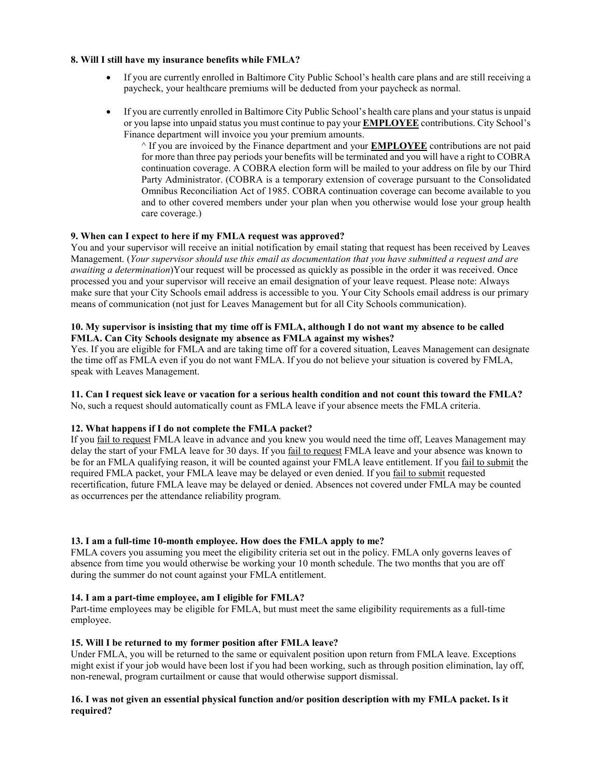#### **8. Will I still have my insurance benefits while FMLA?**

- If you are currently enrolled in Baltimore City Public School's health care plans and are still receiving a paycheck, your healthcare premiums will be deducted from your paycheck as normal.
- If you are currently enrolled in Baltimore City Public School's health care plans and your status is unpaid or you lapse into unpaid status you must continue to pay your **EMPLOYEE** contributions. City School's Finance department will invoice you your premium amounts.

^ If you are invoiced by the Finance department and your **EMPLOYEE** contributions are not paid for more than three pay periods your benefits will be terminated and you will have a right to COBRA continuation coverage. A COBRA election form will be mailed to your address on file by our Third Party Administrator. (COBRA is a temporary extension of coverage pursuant to the Consolidated Omnibus Reconciliation Act of 1985. COBRA continuation coverage can become available to you and to other covered members under your plan when you otherwise would lose your group health care coverage.)

#### **9. When can I expect to here if my FMLA request was approved?**

You and your supervisor will receive an initial notification by email stating that request has been received by Leaves Management. (*Your supervisor should use this email as documentation that you have submitted a request and are awaiting a determination*)Your request will be processed as quickly as possible in the order it was received. Once processed you and your supervisor will receive an email designation of your leave request. Please note: Always make sure that your City Schools email address is accessible to you. Your City Schools email address is our primary means of communication (not just for Leaves Management but for all City Schools communication).

#### **10. My supervisor is insisting that my time off is FMLA, although I do not want my absence to be called FMLA. Can City Schools designate my absence as FMLA against my wishes?**

Yes. If you are eligible for FMLA and are taking time off for a covered situation, Leaves Management can designate the time off as FMLA even if you do not want FMLA. If you do not believe your situation is covered by FMLA, speak with Leaves Management.

## **11. Can I request sick leave or vacation for a serious health condition and not count this toward the FMLA?**

No, such a request should automatically count as FMLA leave if your absence meets the FMLA criteria.

## **12. What happens if I do not complete the FMLA packet?**

If you fail to request FMLA leave in advance and you knew you would need the time off, Leaves Management may delay the start of your FMLA leave for 30 days. If you fail to request FMLA leave and your absence was known to be for an FMLA qualifying reason, it will be counted against your FMLA leave entitlement. If you fail to submit the required FMLA packet, your FMLA leave may be delayed or even denied. If you fail to submit requested recertification, future FMLA leave may be delayed or denied. Absences not covered under FMLA may be counted as occurrences per the attendance reliability program.

## **13. I am a full-time 10-month employee. How does the FMLA apply to me?**

FMLA covers you assuming you meet the eligibility criteria set out in the policy. FMLA only governs leaves of absence from time you would otherwise be working your 10 month schedule. The two months that you are off during the summer do not count against your FMLA entitlement.

## **14. I am a part-time employee, am I eligible for FMLA?**

Part-time employees may be eligible for FMLA, but must meet the same eligibility requirements as a full-time employee.

## **15. Will I be returned to my former position after FMLA leave?**

Under FMLA, you will be returned to the same or equivalent position upon return from FMLA leave. Exceptions might exist if your job would have been lost if you had been working, such as through position elimination, lay off, non-renewal, program curtailment or cause that would otherwise support dismissal.

#### **16. I was not given an essential physical function and/or position description with my FMLA packet. Is it required?**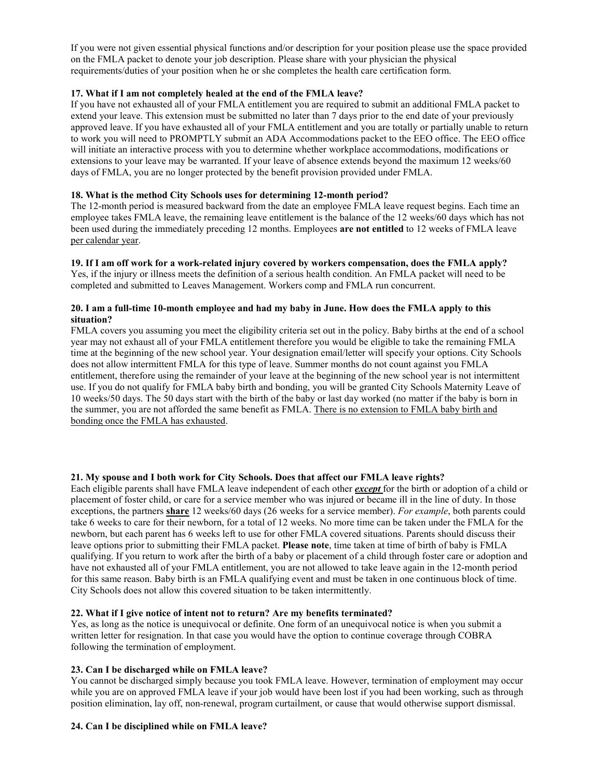If you were not given essential physical functions and/or description for your position please use the space provided on the FMLA packet to denote your job description. Please share with your physician the physical requirements/duties of your position when he or she completes the health care certification form.

## **17. What if I am not completely healed at the end of the FMLA leave?**

If you have not exhausted all of your FMLA entitlement you are required to submit an additional FMLA packet to extend your leave. This extension must be submitted no later than 7 days prior to the end date of your previously approved leave. If you have exhausted all of your FMLA entitlement and you are totally or partially unable to return to work you will need to PROMPTLY submit an ADA Accommodations packet to the EEO office. The EEO office will initiate an interactive process with you to determine whether workplace accommodations, modifications or extensions to your leave may be warranted. If your leave of absence extends beyond the maximum 12 weeks/60 days of FMLA, you are no longer protected by the benefit provision provided under FMLA.

#### **18. What is the method City Schools uses for determining 12-month period?**

The 12-month period is measured backward from the date an employee FMLA leave request begins. Each time an employee takes FMLA leave, the remaining leave entitlement is the balance of the 12 weeks/60 days which has not been used during the immediately preceding 12 months. Employees **are not entitled** to 12 weeks of FMLA leave per calendar year.

## **19. If I am off work for a work-related injury covered by workers compensation, does the FMLA apply?**

Yes, if the injury or illness meets the definition of a serious health condition. An FMLA packet will need to be completed and submitted to Leaves Management. Workers comp and FMLA run concurrent.

#### **20. I am a full-time 10-month employee and had my baby in June. How does the FMLA apply to this situation?**

FMLA covers you assuming you meet the eligibility criteria set out in the policy. Baby births at the end of a school year may not exhaust all of your FMLA entitlement therefore you would be eligible to take the remaining FMLA time at the beginning of the new school year. Your designation email/letter will specify your options. City Schools does not allow intermittent FMLA for this type of leave. Summer months do not count against you FMLA entitlement, therefore using the remainder of your leave at the beginning of the new school year is not intermittent use. If you do not qualify for FMLA baby birth and bonding, you will be granted City Schools Maternity Leave of 10 weeks/50 days. The 50 days start with the birth of the baby or last day worked (no matter if the baby is born in the summer, you are not afforded the same benefit as FMLA. There is no extension to FMLA baby birth and bonding once the FMLA has exhausted.

## **21. My spouse and I both work for City Schools. Does that affect our FMLA leave rights?**

Each eligible parents shall have FMLA leave independent of each other *except* for the birth or adoption of a child or placement of foster child, or care for a service member who was injured or became ill in the line of duty. In those exceptions, the partners **share** 12 weeks/60 days (26 weeks for a service member). *For example*, both parents could take 6 weeks to care for their newborn, for a total of 12 weeks. No more time can be taken under the FMLA for the newborn, but each parent has 6 weeks left to use for other FMLA covered situations. Parents should discuss their leave options prior to submitting their FMLA packet. **Please note**, time taken at time of birth of baby is FMLA qualifying. If you return to work after the birth of a baby or placement of a child through foster care or adoption and have not exhausted all of your FMLA entitlement, you are not allowed to take leave again in the 12-month period for this same reason. Baby birth is an FMLA qualifying event and must be taken in one continuous block of time. City Schools does not allow this covered situation to be taken intermittently.

## **22. What if I give notice of intent not to return? Are my benefits terminated?**

Yes, as long as the notice is unequivocal or definite. One form of an unequivocal notice is when you submit a written letter for resignation. In that case you would have the option to continue coverage through COBRA following the termination of employment.

## **23. Can I be discharged while on FMLA leave?**

You cannot be discharged simply because you took FMLA leave. However, termination of employment may occur while you are on approved FMLA leave if your job would have been lost if you had been working, such as through position elimination, lay off, non-renewal, program curtailment, or cause that would otherwise support dismissal.

## **24. Can I be disciplined while on FMLA leave?**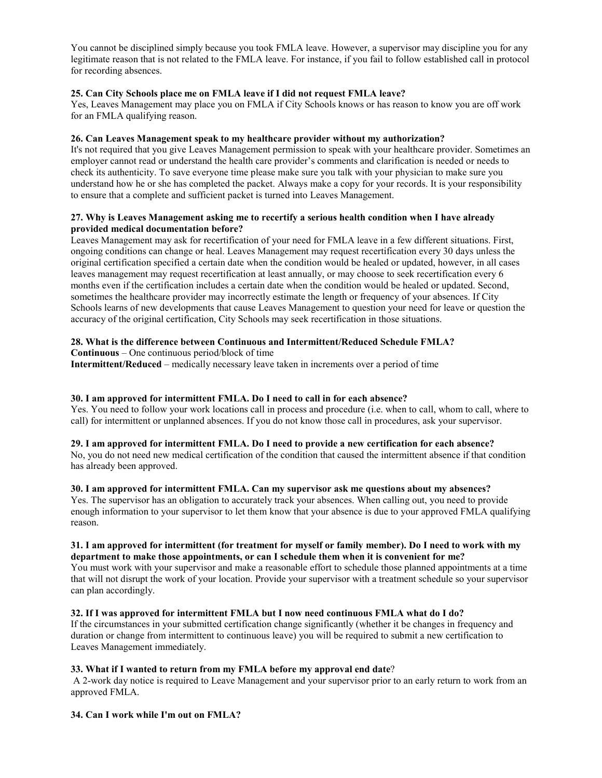You cannot be disciplined simply because you took FMLA leave. However, a supervisor may discipline you for any legitimate reason that is not related to the FMLA leave. For instance, if you fail to follow established call in protocol for recording absences.

#### **25. Can City Schools place me on FMLA leave if I did not request FMLA leave?**

Yes, Leaves Management may place you on FMLA if City Schools knows or has reason to know you are off work for an FMLA qualifying reason.

#### **26. Can Leaves Management speak to my healthcare provider without my authorization?**

It's not required that you give Leaves Management permission to speak with your healthcare provider. Sometimes an employer cannot read or understand the health care provider's comments and clarification is needed or needs to check its authenticity. To save everyone time please make sure you talk with your physician to make sure you understand how he or she has completed the packet. Always make a copy for your records. It is your responsibility to ensure that a complete and sufficient packet is turned into Leaves Management.

#### **27. Why is Leaves Management asking me to recertify a serious health condition when I have already provided medical documentation before?**

Leaves Management may ask for recertification of your need for FMLA leave in a few different situations. First, ongoing conditions can change or heal. Leaves Management may request recertification every 30 days unless the original certification specified a certain date when the condition would be healed or updated, however, in all cases leaves management may request recertification at least annually, or may choose to seek recertification every 6 months even if the certification includes a certain date when the condition would be healed or updated. Second, sometimes the healthcare provider may incorrectly estimate the length or frequency of your absences. If City Schools learns of new developments that cause Leaves Management to question your need for leave or question the accuracy of the original certification, City Schools may seek recertification in those situations.

#### **28. What is the difference between Continuous and Intermittent/Reduced Schedule FMLA?**

**Continuous** – One continuous period/block of time

**Intermittent/Reduced** – medically necessary leave taken in increments over a period of time

## **30. I am approved for intermittent FMLA. Do I need to call in for each absence?**

Yes. You need to follow your work locations call in process and procedure (i.e. when to call, whom to call, where to call) for intermittent or unplanned absences. If you do not know those call in procedures, ask your supervisor.

#### **29. I am approved for intermittent FMLA. Do I need to provide a new certification for each absence?**

No, you do not need new medical certification of the condition that caused the intermittent absence if that condition has already been approved.

## **30. I am approved for intermittent FMLA. Can my supervisor ask me questions about my absences?**

Yes. The supervisor has an obligation to accurately track your absences. When calling out, you need to provide enough information to your supervisor to let them know that your absence is due to your approved FMLA qualifying reason.

#### **31. I am approved for intermittent (for treatment for myself or family member). Do I need to work with my department to make those appointments, or can I schedule them when it is convenient for me?**

You must work with your supervisor and make a reasonable effort to schedule those planned appointments at a time that will not disrupt the work of your location. Provide your supervisor with a treatment schedule so your supervisor can plan accordingly.

## **32. If I was approved for intermittent FMLA but I now need continuous FMLA what do I do?**

If the circumstances in your submitted certification change significantly (whether it be changes in frequency and duration or change from intermittent to continuous leave) you will be required to submit a new certification to Leaves Management immediately.

## **33. What if I wanted to return from my FMLA before my approval end date**?

A 2-work day notice is required to Leave Management and your supervisor prior to an early return to work from an approved FMLA.

## **34. Can I work while I'm out on FMLA?**